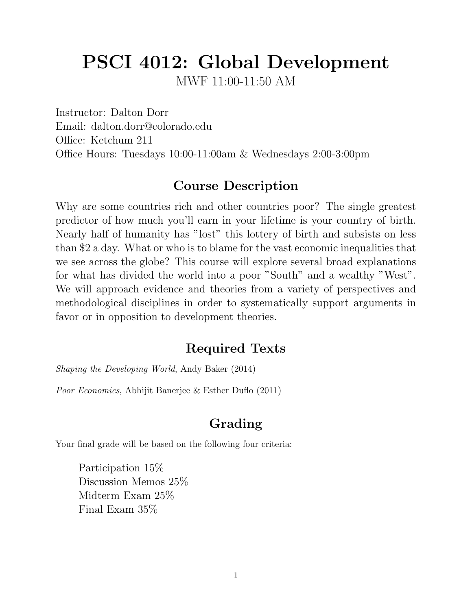# PSCI 4012: Global Development

MWF 11:00-11:50 AM

Instructor: Dalton Dorr Email: dalton.dorr@colorado.edu Office: Ketchum 211 Office Hours: Tuesdays 10:00-11:00am & Wednesdays 2:00-3:00pm

## Course Description

Why are some countries rich and other countries poor? The single greatest predictor of how much you'll earn in your lifetime is your country of birth. Nearly half of humanity has "lost" this lottery of birth and subsists on less than \$2 a day. What or who is to blame for the vast economic inequalities that we see across the globe? This course will explore several broad explanations for what has divided the world into a poor "South" and a wealthy "West". We will approach evidence and theories from a variety of perspectives and methodological disciplines in order to systematically support arguments in favor or in opposition to development theories.

## Required Texts

Shaping the Developing World, Andy Baker (2014)

Poor Economics, Abhijit Banerjee & Esther Duflo (2011)

## Grading

Your final grade will be based on the following four criteria:

Participation 15% Discussion Memos 25% Midterm Exam 25% Final Exam 35%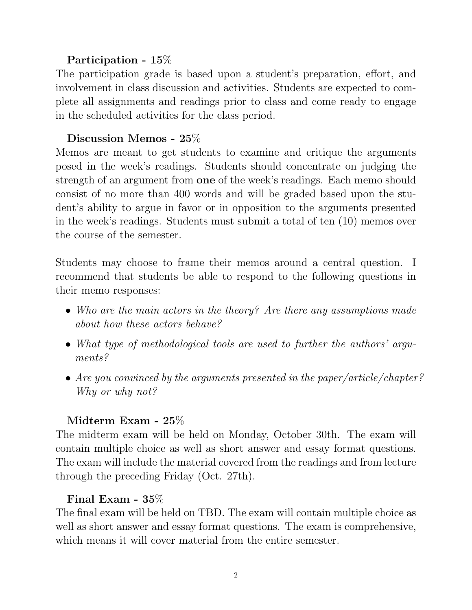#### Participation - 15%

The participation grade is based upon a student's preparation, effort, and involvement in class discussion and activities. Students are expected to complete all assignments and readings prior to class and come ready to engage in the scheduled activities for the class period.

#### Discussion Memos - 25%

Memos are meant to get students to examine and critique the arguments posed in the week's readings. Students should concentrate on judging the strength of an argument from one of the week's readings. Each memo should consist of no more than 400 words and will be graded based upon the student's ability to argue in favor or in opposition to the arguments presented in the week's readings. Students must submit a total of ten (10) memos over the course of the semester.

Students may choose to frame their memos around a central question. I recommend that students be able to respond to the following questions in their memo responses:

- Who are the main actors in the theory? Are there any assumptions made about how these actors behave?
- What type of methodological tools are used to further the authors' arguments?
- Are you convinced by the arguments presented in the paper/article/chapter? Why or why not?

#### Midterm Exam - 25%

The midterm exam will be held on Monday, October 30th. The exam will contain multiple choice as well as short answer and essay format questions. The exam will include the material covered from the readings and from lecture through the preceding Friday (Oct. 27th).

#### Final Exam - 35%

The final exam will be held on TBD. The exam will contain multiple choice as well as short answer and essay format questions. The exam is comprehensive, which means it will cover material from the entire semester.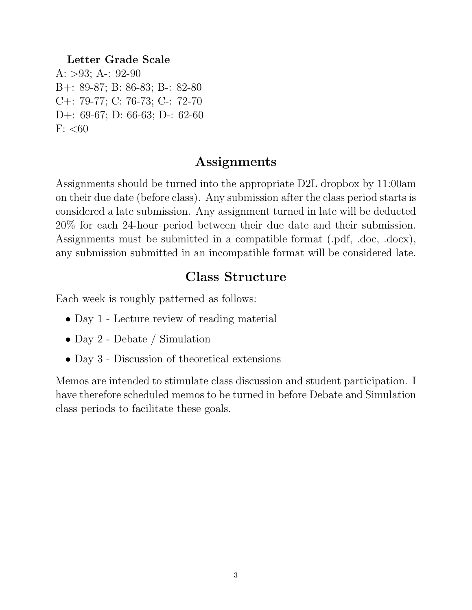#### Letter Grade Scale

A:  $>93$ ; A-: 92-90 B+: 89-87; B: 86-83; B-: 82-80 C+: 79-77; C: 76-73; C-: 72-70 D+: 69-67; D: 66-63; D-: 62-60  $F: < 60$ 

#### Assignments

Assignments should be turned into the appropriate D2L dropbox by 11:00am on their due date (before class). Any submission after the class period starts is considered a late submission. Any assignment turned in late will be deducted 20% for each 24-hour period between their due date and their submission. Assignments must be submitted in a compatible format (.pdf, .doc, .docx), any submission submitted in an incompatible format will be considered late.

### Class Structure

Each week is roughly patterned as follows:

- Day 1 Lecture review of reading material
- Day 2 Debate / Simulation
- Day 3 Discussion of theoretical extensions

Memos are intended to stimulate class discussion and student participation. I have therefore scheduled memos to be turned in before Debate and Simulation class periods to facilitate these goals.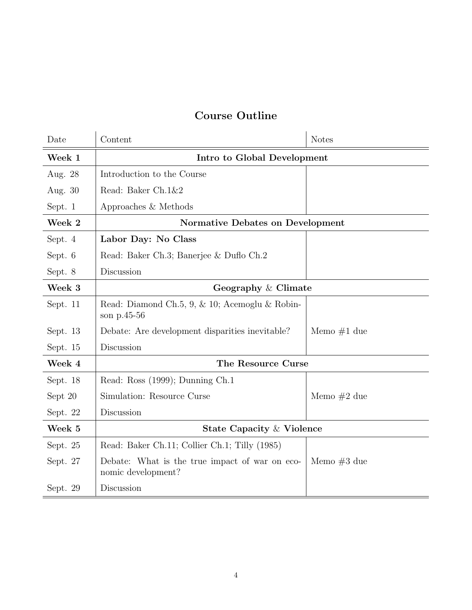### Course Outline

| Date     | Content                                                              | <b>Notes</b>  |  |
|----------|----------------------------------------------------------------------|---------------|--|
| Week 1   | Intro to Global Development                                          |               |  |
| Aug. 28  | Introduction to the Course                                           |               |  |
| Aug. 30  | Read: Baker Ch.1&2                                                   |               |  |
| Sept. 1  | Approaches & Methods                                                 |               |  |
| Week 2   | <b>Normative Debates on Development</b>                              |               |  |
| Sept. 4  | Labor Day: No Class                                                  |               |  |
| Sept. 6  | Read: Baker Ch.3; Banerjee & Duflo Ch.2                              |               |  |
| Sept. 8  | Discussion                                                           |               |  |
| Week 3   | Geography & Climate                                                  |               |  |
| Sept. 11 | Read: Diamond Ch.5, 9, & 10; Acemoglu & Robin-<br>son p.45-56        |               |  |
| Sept. 13 | Debate: Are development disparities inevitable?                      | Memo $#1$ due |  |
| Sept. 15 | Discussion                                                           |               |  |
| Week 4   | The Resource Curse                                                   |               |  |
| Sept. 18 | Read: Ross (1999); Dunning Ch.1                                      |               |  |
| Sept 20  | Simulation: Resource Curse                                           | Memo $#2$ due |  |
| Sept. 22 | Discussion                                                           |               |  |
| Week 5   | State Capacity & Violence                                            |               |  |
| Sept. 25 | Read: Baker Ch.11; Collier Ch.1; Tilly (1985)                        |               |  |
| Sept. 27 | Debate: What is the true impact of war on eco-<br>nomic development? | Memo $#3$ due |  |
| Sept. 29 | Discussion                                                           |               |  |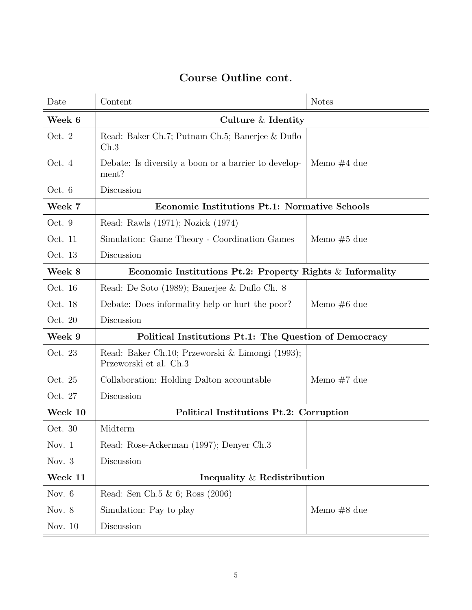| Date     | Content                                                                   | <b>Notes</b>  |  |
|----------|---------------------------------------------------------------------------|---------------|--|
| Week 6   | Culture & Identity                                                        |               |  |
| Oct. 2   | Read: Baker Ch.7; Putnam Ch.5; Banerjee & Duflo<br>$\mathrm{Ch.3}$        |               |  |
| Oct. 4   | Debate: Is diversity a boon or a barrier to develop-<br>ment?             | Memo $#4$ due |  |
| Oct. $6$ | Discussion                                                                |               |  |
| Week 7   | Economic Institutions Pt.1: Normative Schools                             |               |  |
| Oct. 9   | Read: Rawls (1971); Nozick (1974)                                         |               |  |
| Oct. 11  | Simulation: Game Theory - Coordination Games                              | Memo $#5$ due |  |
| Oct. 13  | Discussion                                                                |               |  |
| Week 8   | Economic Institutions Pt.2: Property Rights $\&$ Informality              |               |  |
| Oct. 16  | Read: De Soto (1989); Banerjee & Duflo Ch. 8                              |               |  |
| Oct. 18  | Debate: Does informality help or hurt the poor?                           | Memo $#6$ due |  |
| Oct. 20  | Discussion                                                                |               |  |
| Week 9   | Political Institutions Pt.1: The Question of Democracy                    |               |  |
| Oct. 23  | Read: Baker Ch.10; Przeworski & Limongi (1993);<br>Przeworski et al. Ch.3 |               |  |
| Oct. 25  | Collaboration: Holding Dalton accountable                                 | Memo $#7$ due |  |
| Oct. 27  | Discussion                                                                |               |  |
| Week 10  | Political Institutions Pt.2: Corruption                                   |               |  |
| Oct. 30  | Midterm                                                                   |               |  |
| Nov. $1$ | Read: Rose-Ackerman (1997); Denyer Ch.3                                   |               |  |
| Nov. $3$ | Discussion                                                                |               |  |
| Week 11  | Inequality $\&$ Redistribution                                            |               |  |
| Nov. 6   | Read: Sen Ch.5 & 6; Ross (2006)                                           |               |  |
| Nov. $8$ | Simulation: Pay to play                                                   | Memo $#8$ due |  |
| Nov. 10  | Discussion                                                                |               |  |